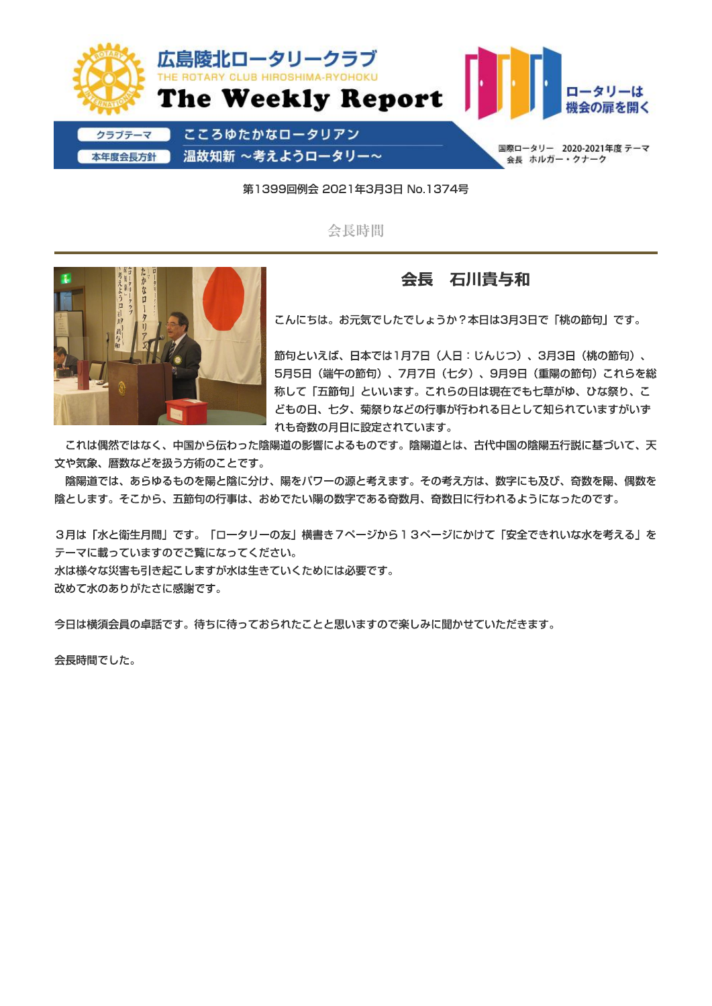

第1399回例会 2021年3月3日 No.1374号

会長時間



### 会長 石川貴与和

こんにちは。お元気でしたでしょうか?本日は3月3日で「桃の節句」です。

節句といえば、日本では1月7日(人日:じんじつ)、3月3日(桃の節句)、 5月5日(端午の節句)、7月7日(七夕)、9月9日(重陽の節句)これらを総 称して「五節句」といいます。これらの日は現在でも七草がゆ、ひな祭り、こ どもの日、七夕、菊祭りなどの行事が行われる日として知られていますがいず れも奇数の月日に設定されています。

これは偶然ではなく、中国から伝わった陰陽道の影響によるものです。陰陽道とは、古代中国の陰陽五行説に基づいて、天 文や気象、暦数などを扱う方術のことです。

陰陽道では、あらゆるものを陽と陰に分け、陽をパワーの源と考えます。その考え方は、数字にも及び、奇数を陽、偶数を 陰とします。そこから、五節句の行事は、おめでたい陽の数字である奇数月、奇数日に行われるようになったのです。

3月は「水と衛生月間」です。「ロータリーの友」横書き7ページから13ページにかけて「安全できれいな水を考える」を テーマに載っていますのでご覧になってください。

水は様々な災害も引き起こしますが水は生きていくためには必要です。

改めて水のありがたさに感謝です。

今日は横須会員の卓話です。待ちに待っておられたことと思いますので楽しみに聞かせていただきます。

会長時間でした。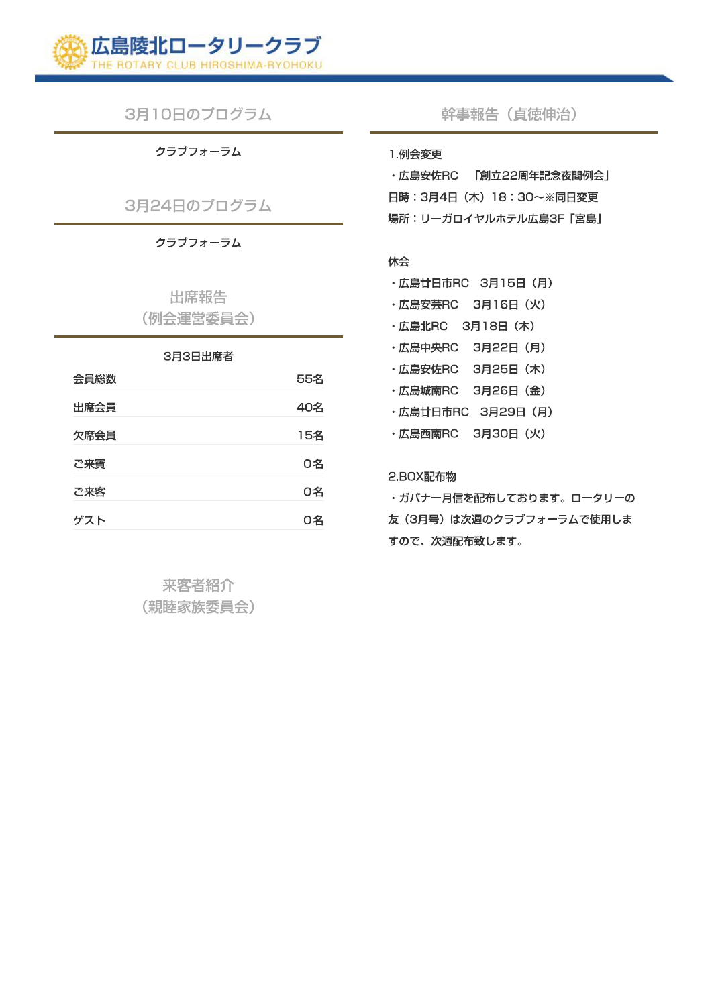

3月10日のプログラム

クラブフォーラム

3月24日のプログラム

クラブフォーラム

出席報告 (例会運営委員会)

### 3月3日出席者

| 会員総数 | 55名 |
|------|-----|
| 出席会員 | 40名 |
| 欠席会員 | 15名 |
| ご来賓  | 0名  |
| ご来客  | 0名  |
| ゲスト  | ∩≈  |

来客者紹介 (親睦家族委員会) 幹事報告 (貞徳伸治)

#### 1.例会変更

·広島安佐RC 「創立22周年記念夜間例会」 日時: 3月4日 (木) 18: 30~※同日変更 場所:リーガロイヤルホテル広島3F「宮島」

#### 休会

- · 広島廿日市RC 3月15日 (月)
- · 広島安芸RC 3月16日 (火)
- · 広島北RC 3月18日 (木)
- · 広島中央RC 3月22日 (月)
- · 広島安佐RC 3月25日 (木)
- · 広島城南RC 3月26日 (金)
- · 広島廿日市RC 3月29日 (月)
- · 広島西南RC 3月30日 (火)

### 2.BOX配布物

・ガバナー月信を配布しております。ロータリーの 友 (3月号) は次週のクラブフォーラムで使用しま すので、次週配布致します。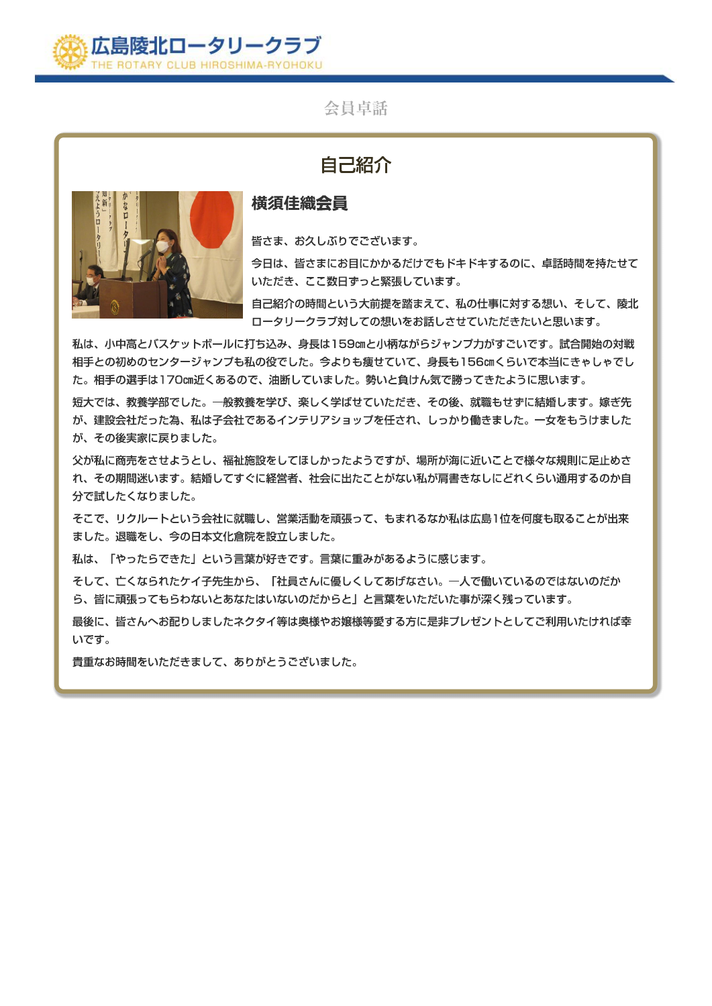

### 会員卓話

# 自己紹介



### 横須佳織会員

皆さま、お久しぶりでございます。

今日は、皆さまにお目にかかるだけでもドキドキするのに、卓話時間を持たせて いただき、ここ数日ずっと緊張しています。

自己紹介の時間という大前提を踏まえて、私の仕事に対する想い、そして、陵北 ロータリークラブ対しての想いをお話しさせていただきたいと思います。

私は、小中高とバスケットボールに打ち込み、身長は159cmと小柄ながらジャンプ力がすごいです。試合開始の対戦 相手との初めのセンタージャンプも私の役でした。今よりも痩せていて、身長も156㎝くらいで本当にきゃしゃでし た。相手の選手は170㎝近くあるので、油断していました。勢いと負けん気で勝ってきたように思います。

短大では、教養学部でした。一般教養を学び、楽しく学ばせていただき、その後、就職もせずに結婚します。嫁ぎ先 が、建設会社だった為、私は子会社であるインテリアショップを任され、しっかり働きました。一女をもうけました が、その後実家に戻りました。

父が私に商売をさせようとし、福祉施設をしてほしかったようですが、場所が海に近いことで様々な規則に足止めさ れ、その期間迷います。結婚してすぐに経営者、社会に出たことがない私が肩書きなしにどれくらい通用するのか自 分で試したくなりました。

そこで、リクルートという会社に就職し、営業活動を頑張って、もまれるなか私は広島1位を何度も取ることが出来 ました。退職をし、今の日本文化倉院を設立しました。

私は、「やったらできた」という言葉が好きです。言葉に重みがあるように感じます。

そして、亡くなられたケイ子先生から、「社員さんに優しくしてあげなさい。一人で働いているのではないのだか ら、皆に頑張ってもらわないとあなたはいないのだからと」と言葉をいただいた事が深く残っています。

最後に、皆さんへお配りしましたネクタイ等は奥様やお嬢様等愛する方に是非プレゼントとしてご利用いたければ幸 いです。

貴重なお時間をいただきまして、ありがとうございました。